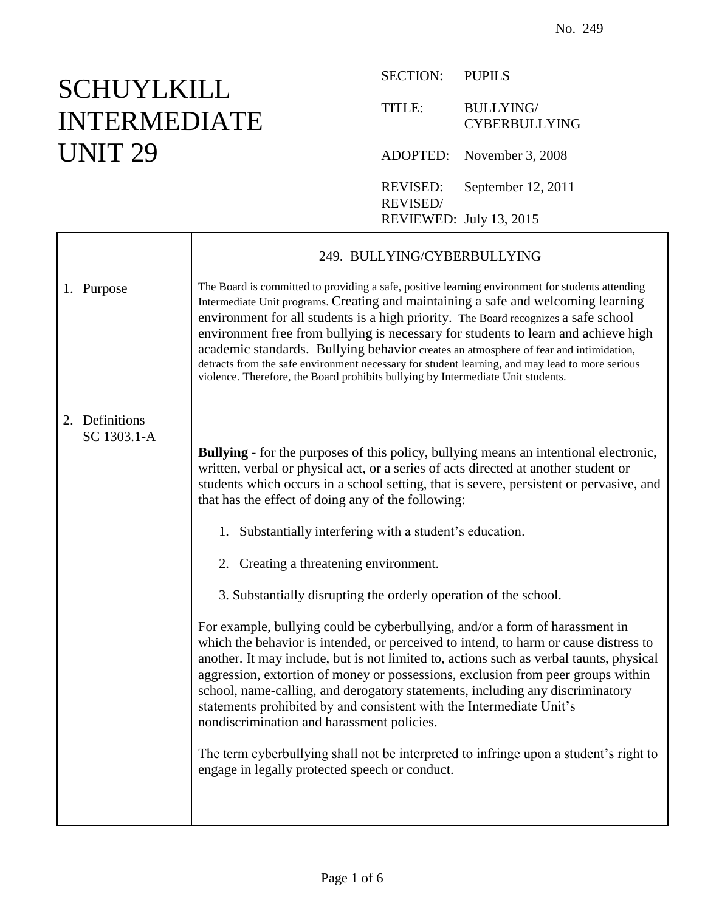## **SCHUYLKILL** INTERMEDIATE UNIT 29

| <b>SECTION:</b>                   | <b>PUPILS</b>                           |
|-----------------------------------|-----------------------------------------|
| TITLE:                            | <b>BULLYING</b><br><b>CYBERBULLYING</b> |
|                                   | ADOPTED: November 3, 2008               |
| <b>REVISED:</b><br><b>REVISED</b> | September 12, 2011                      |
| REVIEWED: July 13, 2015           |                                         |

|                               | 249. BULLYING/CYBERBULLYING                                                                                                                                                                                                                                                                                                                                                                                                                                                                                                                                                                                                                         |
|-------------------------------|-----------------------------------------------------------------------------------------------------------------------------------------------------------------------------------------------------------------------------------------------------------------------------------------------------------------------------------------------------------------------------------------------------------------------------------------------------------------------------------------------------------------------------------------------------------------------------------------------------------------------------------------------------|
| 1. Purpose                    | The Board is committed to providing a safe, positive learning environment for students attending<br>Intermediate Unit programs. Creating and maintaining a safe and welcoming learning<br>environment for all students is a high priority. The Board recognizes a safe school<br>environment free from bullying is necessary for students to learn and achieve high<br>academic standards. Bullying behavior creates an atmosphere of fear and intimidation,<br>detracts from the safe environment necessary for student learning, and may lead to more serious<br>violence. Therefore, the Board prohibits bullying by Intermediate Unit students. |
| 2. Definitions<br>SC 1303.1-A |                                                                                                                                                                                                                                                                                                                                                                                                                                                                                                                                                                                                                                                     |
|                               | <b>Bullying</b> - for the purposes of this policy, bullying means an intentional electronic,<br>written, verbal or physical act, or a series of acts directed at another student or<br>students which occurs in a school setting, that is severe, persistent or pervasive, and<br>that has the effect of doing any of the following:                                                                                                                                                                                                                                                                                                                |
|                               | 1. Substantially interfering with a student's education.                                                                                                                                                                                                                                                                                                                                                                                                                                                                                                                                                                                            |
|                               | 2. Creating a threatening environment.                                                                                                                                                                                                                                                                                                                                                                                                                                                                                                                                                                                                              |
|                               | 3. Substantially disrupting the orderly operation of the school.                                                                                                                                                                                                                                                                                                                                                                                                                                                                                                                                                                                    |
|                               | For example, bullying could be cyberbullying, and/or a form of harassment in<br>which the behavior is intended, or perceived to intend, to harm or cause distress to<br>another. It may include, but is not limited to, actions such as verbal taunts, physical<br>aggression, extortion of money or possessions, exclusion from peer groups within<br>school, name-calling, and derogatory statements, including any discriminatory<br>statements prohibited by and consistent with the Intermediate Unit's<br>nondiscrimination and harassment policies.                                                                                          |
|                               | The term cyberbullying shall not be interpreted to infringe upon a student's right to<br>engage in legally protected speech or conduct.                                                                                                                                                                                                                                                                                                                                                                                                                                                                                                             |
|                               |                                                                                                                                                                                                                                                                                                                                                                                                                                                                                                                                                                                                                                                     |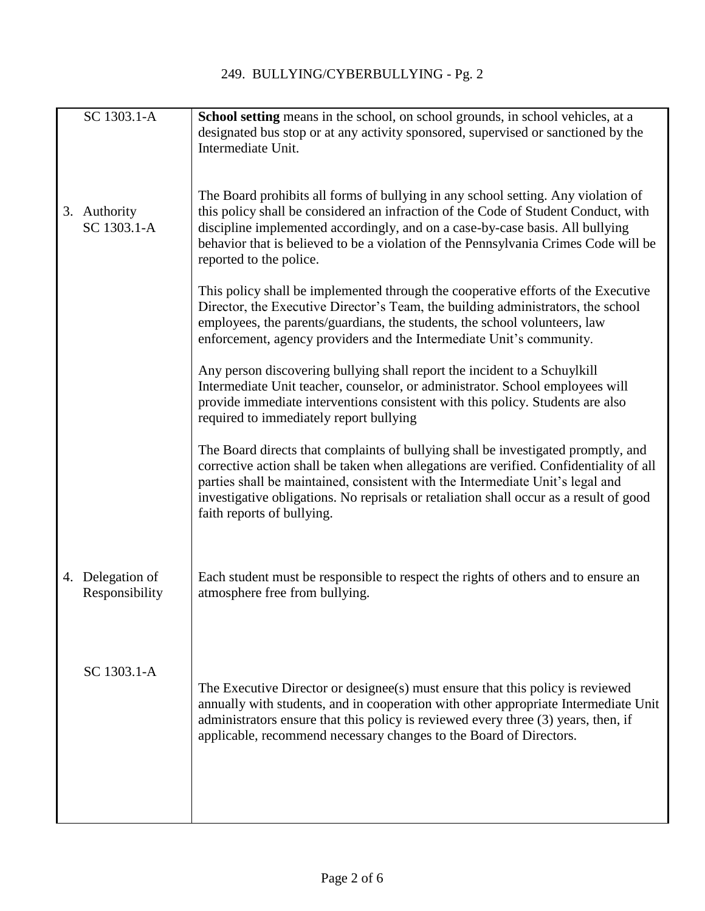| SC 1303.1-A                        | School setting means in the school, on school grounds, in school vehicles, at a<br>designated bus stop or at any activity sponsored, supervised or sanctioned by the<br>Intermediate Unit.                                                                                                                                                                                            |
|------------------------------------|---------------------------------------------------------------------------------------------------------------------------------------------------------------------------------------------------------------------------------------------------------------------------------------------------------------------------------------------------------------------------------------|
| 3. Authority<br>SC 1303.1-A        | The Board prohibits all forms of bullying in any school setting. Any violation of<br>this policy shall be considered an infraction of the Code of Student Conduct, with<br>discipline implemented accordingly, and on a case-by-case basis. All bullying<br>behavior that is believed to be a violation of the Pennsylvania Crimes Code will be<br>reported to the police.            |
|                                    | This policy shall be implemented through the cooperative efforts of the Executive<br>Director, the Executive Director's Team, the building administrators, the school<br>employees, the parents/guardians, the students, the school volunteers, law<br>enforcement, agency providers and the Intermediate Unit's community.                                                           |
|                                    | Any person discovering bullying shall report the incident to a Schuylkill<br>Intermediate Unit teacher, counselor, or administrator. School employees will<br>provide immediate interventions consistent with this policy. Students are also<br>required to immediately report bullying                                                                                               |
|                                    | The Board directs that complaints of bullying shall be investigated promptly, and<br>corrective action shall be taken when allegations are verified. Confidentiality of all<br>parties shall be maintained, consistent with the Intermediate Unit's legal and<br>investigative obligations. No reprisals or retaliation shall occur as a result of good<br>faith reports of bullying. |
| 4. Delegation of<br>Responsibility | Each student must be responsible to respect the rights of others and to ensure an<br>atmosphere free from bullying.                                                                                                                                                                                                                                                                   |
| SC 1303.1-A                        | The Executive Director or designee(s) must ensure that this policy is reviewed<br>annually with students, and in cooperation with other appropriate Intermediate Unit<br>administrators ensure that this policy is reviewed every three (3) years, then, if<br>applicable, recommend necessary changes to the Board of Directors.                                                     |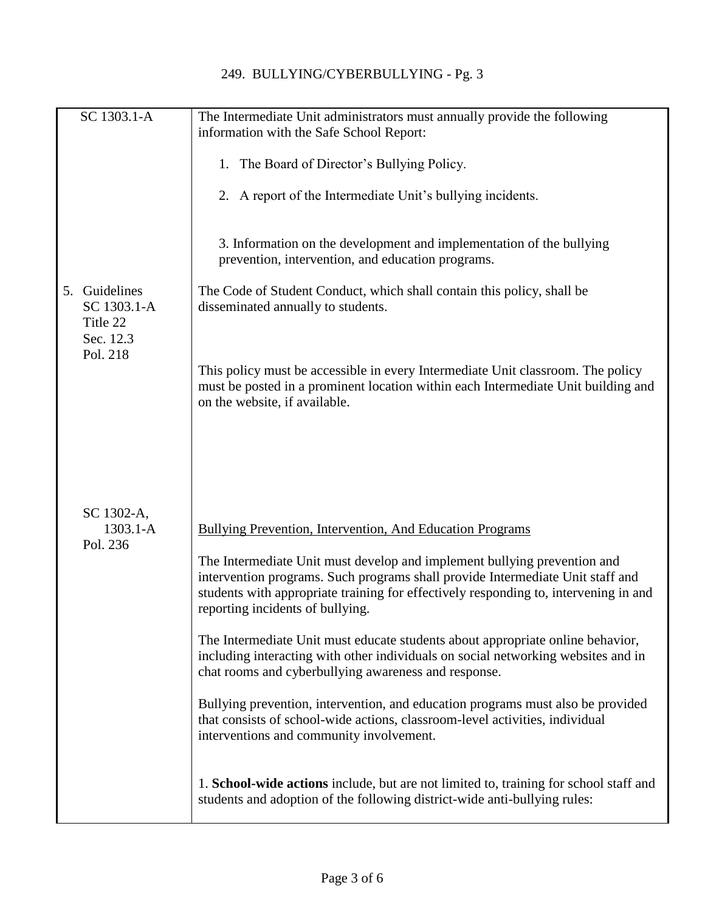| SC 1303.1-A                                              | The Intermediate Unit administrators must annually provide the following<br>information with the Safe School Report:                                                                                                                                                                   |
|----------------------------------------------------------|----------------------------------------------------------------------------------------------------------------------------------------------------------------------------------------------------------------------------------------------------------------------------------------|
|                                                          | 1. The Board of Director's Bullying Policy.                                                                                                                                                                                                                                            |
|                                                          | 2. A report of the Intermediate Unit's bullying incidents.                                                                                                                                                                                                                             |
|                                                          | 3. Information on the development and implementation of the bullying<br>prevention, intervention, and education programs.                                                                                                                                                              |
| Guidelines<br>5.<br>SC 1303.1-A<br>Title 22<br>Sec. 12.3 | The Code of Student Conduct, which shall contain this policy, shall be<br>disseminated annually to students.                                                                                                                                                                           |
| Pol. 218                                                 | This policy must be accessible in every Intermediate Unit classroom. The policy<br>must be posted in a prominent location within each Intermediate Unit building and<br>on the website, if available.                                                                                  |
|                                                          |                                                                                                                                                                                                                                                                                        |
| SC 1302-A,<br>$1303.1 - A$                               | Bullying Prevention, Intervention, And Education Programs                                                                                                                                                                                                                              |
| Pol. 236                                                 | The Intermediate Unit must develop and implement bullying prevention and<br>intervention programs. Such programs shall provide Intermediate Unit staff and<br>students with appropriate training for effectively responding to, intervening in and<br>reporting incidents of bullying. |
|                                                          | The Intermediate Unit must educate students about appropriate online behavior,<br>including interacting with other individuals on social networking websites and in<br>chat rooms and cyberbullying awareness and response.                                                            |
|                                                          | Bullying prevention, intervention, and education programs must also be provided<br>that consists of school-wide actions, classroom-level activities, individual<br>interventions and community involvement.                                                                            |
|                                                          | 1. School-wide actions include, but are not limited to, training for school staff and<br>students and adoption of the following district-wide anti-bullying rules:                                                                                                                     |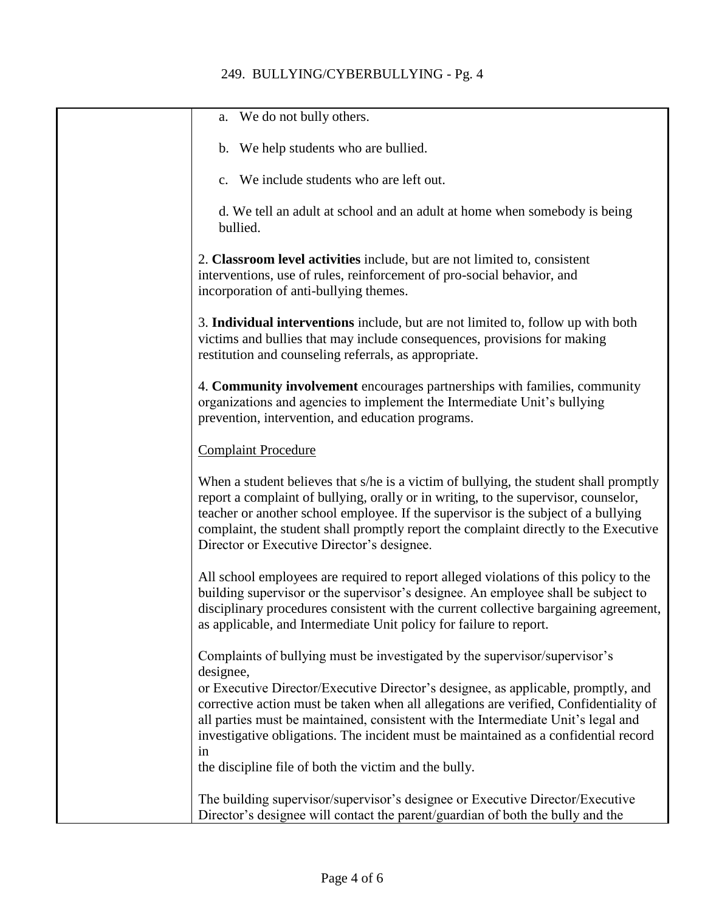## 249. BULLYING/CYBERBULLYING - Pg. 4

| We do not bully others.<br>a.                                                                                                                                                                                                                                                                                                                                                                            |
|----------------------------------------------------------------------------------------------------------------------------------------------------------------------------------------------------------------------------------------------------------------------------------------------------------------------------------------------------------------------------------------------------------|
| b. We help students who are bullied.                                                                                                                                                                                                                                                                                                                                                                     |
| We include students who are left out.<br>$\mathbf{c}$ .                                                                                                                                                                                                                                                                                                                                                  |
| d. We tell an adult at school and an adult at home when somebody is being<br>bullied.                                                                                                                                                                                                                                                                                                                    |
| 2. Classroom level activities include, but are not limited to, consistent<br>interventions, use of rules, reinforcement of pro-social behavior, and<br>incorporation of anti-bullying themes.                                                                                                                                                                                                            |
| 3. Individual interventions include, but are not limited to, follow up with both<br>victims and bullies that may include consequences, provisions for making<br>restitution and counseling referrals, as appropriate.                                                                                                                                                                                    |
| 4. Community involvement encourages partnerships with families, community<br>organizations and agencies to implement the Intermediate Unit's bullying<br>prevention, intervention, and education programs.                                                                                                                                                                                               |
| <b>Complaint Procedure</b>                                                                                                                                                                                                                                                                                                                                                                               |
| When a student believes that s/he is a victim of bullying, the student shall promptly<br>report a complaint of bullying, orally or in writing, to the supervisor, counselor,<br>teacher or another school employee. If the supervisor is the subject of a bullying<br>complaint, the student shall promptly report the complaint directly to the Executive<br>Director or Executive Director's designee. |
| All school employees are required to report alleged violations of this policy to the<br>building supervisor or the supervisor's designee. An employee shall be subject to<br>disciplinary procedures consistent with the current collective bargaining agreement,<br>as applicable, and Intermediate Unit policy for failure to report.                                                                  |
| Complaints of bullying must be investigated by the supervisor/supervisor's<br>designee,                                                                                                                                                                                                                                                                                                                  |
| or Executive Director/Executive Director's designee, as applicable, promptly, and<br>corrective action must be taken when all allegations are verified, Confidentiality of<br>all parties must be maintained, consistent with the Intermediate Unit's legal and<br>investigative obligations. The incident must be maintained as a confidential record<br>in                                             |
| the discipline file of both the victim and the bully.                                                                                                                                                                                                                                                                                                                                                    |
| The building supervisor/supervisor's designee or Executive Director/Executive<br>Director's designee will contact the parent/guardian of both the bully and the                                                                                                                                                                                                                                          |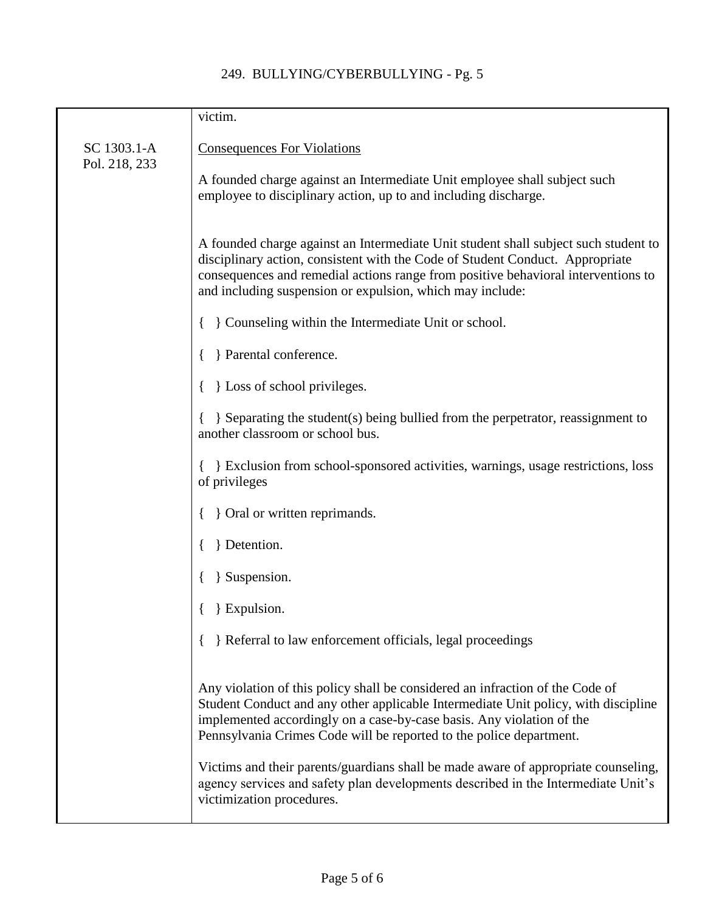## 249. BULLYING/CYBERBULLYING - Pg. 5

|                              | victim.                                                                                                                                                                                                                                                                                                                |
|------------------------------|------------------------------------------------------------------------------------------------------------------------------------------------------------------------------------------------------------------------------------------------------------------------------------------------------------------------|
| SC 1303.1-A<br>Pol. 218, 233 | <b>Consequences For Violations</b>                                                                                                                                                                                                                                                                                     |
|                              | A founded charge against an Intermediate Unit employee shall subject such<br>employee to disciplinary action, up to and including discharge.                                                                                                                                                                           |
|                              | A founded charge against an Intermediate Unit student shall subject such student to<br>disciplinary action, consistent with the Code of Student Conduct. Appropriate<br>consequences and remedial actions range from positive behavioral interventions to<br>and including suspension or expulsion, which may include: |
|                              | } Counseling within the Intermediate Unit or school.                                                                                                                                                                                                                                                                   |
|                              | } Parental conference.                                                                                                                                                                                                                                                                                                 |
|                              | } Loss of school privileges.                                                                                                                                                                                                                                                                                           |
|                              | } Separating the student(s) being bullied from the perpetrator, reassignment to<br>another classroom or school bus.                                                                                                                                                                                                    |
|                              | } Exclusion from school-sponsored activities, warnings, usage restrictions, loss<br>of privileges                                                                                                                                                                                                                      |
|                              | { Oral or written reprimands.                                                                                                                                                                                                                                                                                          |
|                              | Betention.                                                                                                                                                                                                                                                                                                             |
|                              | } Suspension.                                                                                                                                                                                                                                                                                                          |
|                              | Expulsion.                                                                                                                                                                                                                                                                                                             |
|                              | } Referral to law enforcement officials, legal proceedings                                                                                                                                                                                                                                                             |
|                              | Any violation of this policy shall be considered an infraction of the Code of<br>Student Conduct and any other applicable Intermediate Unit policy, with discipline<br>implemented accordingly on a case-by-case basis. Any violation of the<br>Pennsylvania Crimes Code will be reported to the police department.    |
|                              | Victims and their parents/guardians shall be made aware of appropriate counseling,<br>agency services and safety plan developments described in the Intermediate Unit's<br>victimization procedures.                                                                                                                   |